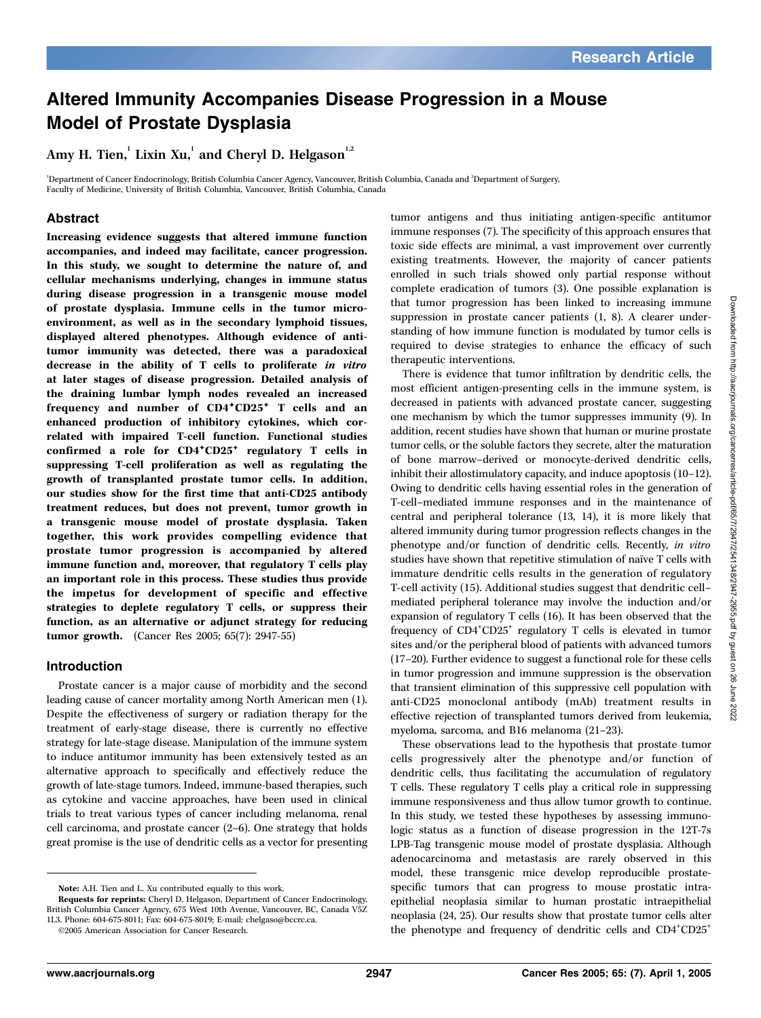# Downloaded from http://aacrjournals.org/cancerres/article-pdf/65/7/294712541348/2947-2955.pdf by guest on 26 June 2022 Downloaded from http://aacrjournals.org/cancerres/article-pdf/65/7/2947/2541348/2947-2955.pdf by guest on 26 June 2022

# Altered Immunity Accompanies Disease Progression in a Mouse Model of Prostate Dysplasia

Amy H. Tien, $^{\rm l}$  Lixin Xu, $^{\rm l}$  and Cheryl D. Helgason $^{\rm l,2}$ 

<sup>1</sup>Department of Cancer Endocrinology, British Columbia Cancer Agency, Vancouver, British Columbia, Canada and <sup>2</sup>Department of Surgery, Faculty of Medicine, University of British Columbia, Vancouver, British Columbia, Canada

# **Abstract**

Increasing evidence suggests that altered immune function accompanies, and indeed may facilitate, cancer progression. In this study, we sought to determine the nature of, and cellular mechanisms underlying, changes in immune status during disease progression in a transgenic mouse model of prostate dysplasia. Immune cells in the tumor microenvironment, as well as in the secondary lymphoid tissues, displayed altered phenotypes. Although evidence of antitumor immunity was detected, there was a paradoxical decrease in the ability of T cells to proliferate in vitro at later stages of disease progression. Detailed analysis of the draining lumbar lymph nodes revealed an increased frequency and number of  $CD4\textsuperscript{+}CD25\textsuperscript{+}$  T cells and an enhanced production of inhibitory cytokines, which correlated with impaired T-cell function. Functional studies confirmed a role for  $CD4^+CD25^+$  regulatory T cells in suppressing T-cell proliferation as well as regulating the growth of transplanted prostate tumor cells. In addition, our studies show for the first time that anti-CD25 antibody treatment reduces, but does not prevent, tumor growth in a transgenic mouse model of prostate dysplasia. Taken together, this work provides compelling evidence that prostate tumor progression is accompanied by altered immune function and, moreover, that regulatory T cells play an important role in this process. These studies thus provide the impetus for development of specific and effective strategies to deplete regulatory T cells, or suppress their function, as an alternative or adjunct strategy for reducing tumor growth. (Cancer Res 2005; 65(7): 2947-55)

### Introduction

Prostate cancer is a major cause of morbidity and the second leading cause of cancer mortality among North American men (1). Despite the effectiveness of surgery or radiation therapy for the treatment of early-stage disease, there is currently no effective strategy for late-stage disease. Manipulation of the immune system to induce antitumor immunity has been extensively tested as an alternative approach to specifically and effectively reduce the growth of late-stage tumors. Indeed, immune-based therapies, such as cytokine and vaccine approaches, have been used in clinical trials to treat various types of cancer including melanoma, renal cell carcinoma, and prostate cancer (2–6). One strategy that holds great promise is the use of dendritic cells as a vector for presenting tumor antigens and thus initiating antigen-specific antitumor immune responses (7). The specificity of this approach ensures that toxic side effects are minimal, a vast improvement over currently existing treatments. However, the majority of cancer patients enrolled in such trials showed only partial response without complete eradication of tumors (3). One possible explanation is that tumor progression has been linked to increasing immune suppression in prostate cancer patients (1, 8). A clearer understanding of how immune function is modulated by tumor cells is required to devise strategies to enhance the efficacy of such therapeutic interventions.

There is evidence that tumor infiltration by dendritic cells, the most efficient antigen-presenting cells in the immune system, is decreased in patients with advanced prostate cancer, suggesting one mechanism by which the tumor suppresses immunity (9). In addition, recent studies have shown that human or murine prostate tumor cells, or the soluble factors they secrete, alter the maturation of bone marrow–derived or monocyte-derived dendritic cells, inhibit their allostimulatory capacity, and induce apoptosis (10–12). Owing to dendritic cells having essential roles in the generation of T-cell–mediated immune responses and in the maintenance of central and peripheral tolerance (13, 14), it is more likely that altered immunity during tumor progression reflects changes in the phenotype and/or function of dendritic cells. Recently, in vitro studies have shown that repetitive stimulation of naïve T cells with immature dendritic cells results in the generation of regulatory T-cell activity (15). Additional studies suggest that dendritic cell– mediated peripheral tolerance may involve the induction and/or expansion of regulatory T cells (16). It has been observed that the frequency of CD4<sup>+</sup>CD25<sup>+</sup> regulatory T cells is elevated in tumor sites and/or the peripheral blood of patients with advanced tumors (17–20). Further evidence to suggest a functional role for these cells in tumor progression and immune suppression is the observation that transient elimination of this suppressive cell population with anti-CD25 monoclonal antibody (mAb) treatment results in effective rejection of transplanted tumors derived from leukemia, myeloma, sarcoma, and B16 melanoma (21–23).

These observations lead to the hypothesis that prostate tumor cells progressively alter the phenotype and/or function of dendritic cells, thus facilitating the accumulation of regulatory T cells. These regulatory T cells play a critical role in suppressing immune responsiveness and thus allow tumor growth to continue. In this study, we tested these hypotheses by assessing immunologic status as a function of disease progression in the 12T-7s LPB-Tag transgenic mouse model of prostate dysplasia. Although adenocarcinoma and metastasis are rarely observed in this model, these transgenic mice develop reproducible prostatespecific tumors that can progress to mouse prostatic intraepithelial neoplasia similar to human prostatic intraepithelial neoplasia (24, 25). Our results show that prostate tumor cells alter the phenotype and frequency of dendritic cells and CD4<sup>+</sup>CD25<sup>+</sup>

Note: A.H. Tien and L. Xu contributed equally to this work.

Requests for reprints: Cheryl D. Helgason, Department of Cancer Endocrinology, British Columbia Cancer Agency, 675 West 10th Avenue, Vancouver, BC, Canada V5Z 1L3. Phone: 604-675-8011; Fax: 604-675-8019; E-mail: chelgaso@bccrc.ca.

<sup>©2005</sup> American Association for Cancer Research.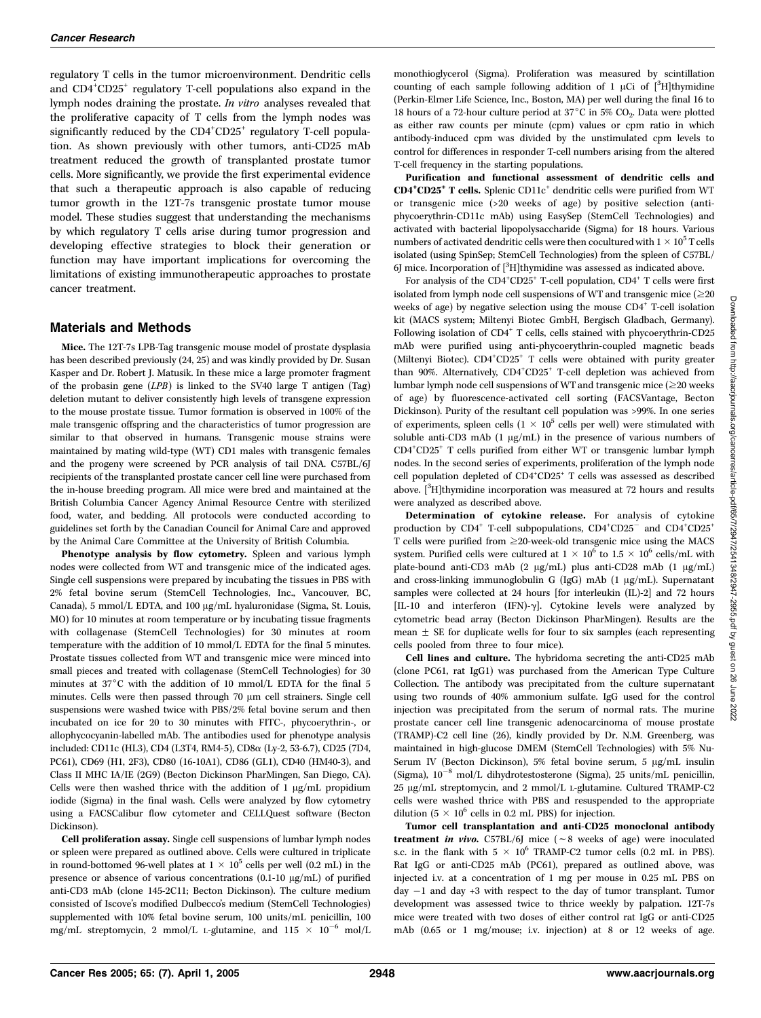regulatory T cells in the tumor microenvironment. Dendritic cells and CD4<sup>+</sup> CD25<sup>+</sup> regulatory T-cell populations also expand in the lymph nodes draining the prostate. In vitro analyses revealed that the proliferative capacity of T cells from the lymph nodes was significantly reduced by the CD4<sup>+</sup>CD25<sup>+</sup> regulatory T-cell population. As shown previously with other tumors, anti-CD25 mAb treatment reduced the growth of transplanted prostate tumor cells. More significantly, we provide the first experimental evidence that such a therapeutic approach is also capable of reducing tumor growth in the 12T-7s transgenic prostate tumor mouse model. These studies suggest that understanding the mechanisms by which regulatory T cells arise during tumor progression and developing effective strategies to block their generation or function may have important implications for overcoming the limitations of existing immunotherapeutic approaches to prostate cancer treatment.

### Materials and Methods

Mice. The 12T-7s LPB-Tag transgenic mouse model of prostate dysplasia has been described previously (24, 25) and was kindly provided by Dr. Susan Kasper and Dr. Robert J. Matusik. In these mice a large promoter fragment of the probasin gene (LPB) is linked to the SV40 large T antigen (Tag) deletion mutant to deliver consistently high levels of transgene expression to the mouse prostate tissue. Tumor formation is observed in 100% of the male transgenic offspring and the characteristics of tumor progression are similar to that observed in humans. Transgenic mouse strains were maintained by mating wild-type (WT) CD1 males with transgenic females and the progeny were screened by PCR analysis of tail DNA. C57BL/6J recipients of the transplanted prostate cancer cell line were purchased from the in-house breeding program. All mice were bred and maintained at the British Columbia Cancer Agency Animal Resource Centre with sterilized food, water, and bedding. All protocols were conducted according to guidelines set forth by the Canadian Council for Animal Care and approved by the Animal Care Committee at the University of British Columbia.

Phenotype analysis by flow cytometry. Spleen and various lymph nodes were collected from WT and transgenic mice of the indicated ages. Single cell suspensions were prepared by incubating the tissues in PBS with 2% fetal bovine serum (StemCell Technologies, Inc., Vancouver, BC, Canada), 5 mmol/L EDTA, and 100 µg/mL hyaluronidase (Sigma, St. Louis, MO) for 10 minutes at room temperature or by incubating tissue fragments with collagenase (StemCell Technologies) for 30 minutes at room temperature with the addition of 10 mmol/L EDTA for the final 5 minutes. Prostate tissues collected from WT and transgenic mice were minced into small pieces and treated with collagenase (StemCell Technologies) for 30 minutes at 37 $^{\circ}$ C with the addition of 10 mmol/L EDTA for the final 5 minutes. Cells were then passed through 70  $\mu$ m cell strainers. Single cell suspensions were washed twice with PBS/2% fetal bovine serum and then incubated on ice for 20 to 30 minutes with FITC-, phycoerythrin-, or allophycocyanin-labelled mAb. The antibodies used for phenotype analysis included: CD11c (HL3), CD4 (L3T4, RM4-5), CD8a (Ly-2, 53-6.7), CD25 (7D4, PC61), CD69 (H1, 2F3), CD80 (16-10A1), CD86 (GL1), CD40 (HM40-3), and Class II MHC IA/IE (2G9) (Becton Dickinson PharMingen, San Diego, CA). Cells were then washed thrice with the addition of  $1 \mu g/mL$  propidium iodide (Sigma) in the final wash. Cells were analyzed by flow cytometry using a FACSCalibur flow cytometer and CELLQuest software (Becton Dickinson).

Cell proliferation assay. Single cell suspensions of lumbar lymph nodes or spleen were prepared as outlined above. Cells were cultured in triplicate in round-bottomed 96-well plates at  $1 \times 10^5$  cells per well (0.2 mL) in the presence or absence of various concentrations  $(0.1-10 \mu g/mL)$  of purified anti-CD3 mAb (clone 145-2C11; Becton Dickinson). The culture medium consisted of Iscove's modified Dulbecco's medium (StemCell Technologies) supplemented with 10% fetal bovine serum, 100 units/mL penicillin, 100 mg/mL streptomycin, 2 mmol/L L-glutamine, and  $115 \times 10^{-6}$  mol/L

monothioglycerol (Sigma). Proliferation was measured by scintillation counting of each sample following addition of 1  $\mu$ Ci of [<sup>3</sup>H]thymidine (Perkin-Elmer Life Science, Inc., Boston, MA) per well during the final 16 to 18 hours of a 72-hour culture period at  $37^{\circ}$ C in 5% CO<sub>2</sub>. Data were plotted as either raw counts per minute (cpm) values or cpm ratio in which antibody-induced cpm was divided by the unstimulated cpm levels to control for differences in responder T-cell numbers arising from the altered T-cell frequency in the starting populations.

Purification and functional assessment of dendritic cells and CD4<sup>+</sup>CD25<sup>+</sup> T cells. Splenic CD11c<sup>+</sup> dendritic cells were purified from WT or transgenic mice (>20 weeks of age) by positive selection (antiphycoerythrin-CD11c mAb) using EasySep (StemCell Technologies) and activated with bacterial lipopolysaccharide (Sigma) for 18 hours. Various numbers of activated dendritic cells were then cocultured with  $1 \times 10^5 \, \mathrm{T}$  cells isolated (using SpinSep; StemCell Technologies) from the spleen of C57BL/ 6J mice. Incorporation of  $[^3H]$ thymidine was assessed as indicated above.

For analysis of the CD4<sup>+</sup>CD25<sup>+</sup> T-cell population, CD4<sup>+</sup> T cells were first isolated from lymph node cell suspensions of WT and transgenic mice  $(\geq 20$ weeks of age) by negative selection using the mouse CD4<sup>+</sup> T-cell isolation kit (MACS system; Miltenyi Biotec GmbH, Bergisch Gladbach, Germany). Following isolation of CD4<sup>+</sup> T cells, cells stained with phycoerythrin-CD25 mAb were purified using anti-phycoerythrin-coupled magnetic beads (Miltenyi Biotec).  $CD4+CD25+T$  cells were obtained with purity greater than 90%. Alternatively, CD4<sup>+</sup>CD25<sup>+</sup> T-cell depletion was achieved from lumbar lymph node cell suspensions of WT and transgenic mice  $(\geq 20$  weeks of age) by fluorescence-activated cell sorting (FACSVantage, Becton Dickinson). Purity of the resultant cell population was >99%. In one series of experiments, spleen cells  $(1 \times 10^5 \text{ cells per well})$  were stimulated with soluble anti-CD3 mAb (1 µg/mL) in the presence of various numbers of CD4+ CD25+ T cells purified from either WT or transgenic lumbar lymph nodes. In the second series of experiments, proliferation of the lymph node cell population depleted of CD4<sup>+</sup>CD25<sup>+</sup> T cells was assessed as described above. [<sup>3</sup>H]thymidine incorporation was measured at 72 hours and results were analyzed as described above.

Determination of cytokine release. For analysis of cytokine production by CD4<sup>+</sup> T-cell subpopulations, CD4<sup>+</sup>CD25<sup>+</sup> and CD4<sup>+</sup>CD25<sup>+</sup> T cells were purified from  $\geq$  20-week-old transgenic mice using the MACS system. Purified cells were cultured at  $1 \times 10^6$  to  $1.5 \times 10^6$  cells/mL with plate-bound anti-CD3 mAb  $(2 \mu g/mL)$  plus anti-CD28 mAb  $(1 \mu g/mL)$ and cross-linking immunoglobulin G (IgG) mAb (1  $\mu$ g/mL). Supernatant samples were collected at 24 hours [for interleukin (IL)-2] and 72 hours [IL-10 and interferon (IFN)- $\gamma$ ]. Cytokine levels were analyzed by cytometric bead array (Becton Dickinson PharMingen). Results are the mean  $\pm$  SE for duplicate wells for four to six samples (each representing cells pooled from three to four mice).

Cell lines and culture. The hybridoma secreting the anti-CD25 mAb (clone PC61, rat IgG1) was purchased from the American Type Culture Collection. The antibody was precipitated from the culture supernatant using two rounds of 40% ammonium sulfate. IgG used for the control injection was precipitated from the serum of normal rats. The murine prostate cancer cell line transgenic adenocarcinoma of mouse prostate (TRAMP)-C2 cell line (26), kindly provided by Dr. N.M. Greenberg, was maintained in high-glucose DMEM (StemCell Technologies) with 5% Nu-Serum IV (Becton Dickinson), 5% fetal bovine serum, 5 µg/mL insulin (Sigma), 10-<sup>8</sup> mol/L dihydrotestosterone (Sigma), 25 units/mL penicillin, 25 µg/mL streptomycin, and 2 mmol/L L-glutamine. Cultured TRAMP-C2 cells were washed thrice with PBS and resuspended to the appropriate dilution (5  $\times$  10<sup>6</sup> cells in 0.2 mL PBS) for injection.

Tumor cell transplantation and anti-CD25 monoclonal antibody treatment in vivo. C57BL/6J mice  $(-8 \text{ weeks of age})$  were inoculated s.c. in the flank with  $5 \times 10^6$  TRAMP-C2 tumor cells (0.2 mL in PBS). Rat IgG or anti-CD25 mAb (PC61), prepared as outlined above, was injected i.v. at a concentration of 1 mg per mouse in 0.25 mL PBS on day -1 and day +3 with respect to the day of tumor transplant. Tumor development was assessed twice to thrice weekly by palpation. 12T-7s mice were treated with two doses of either control rat IgG or anti-CD25 mAb (0.65 or 1 mg/mouse; i.v. injection) at 8 or 12 weeks of age.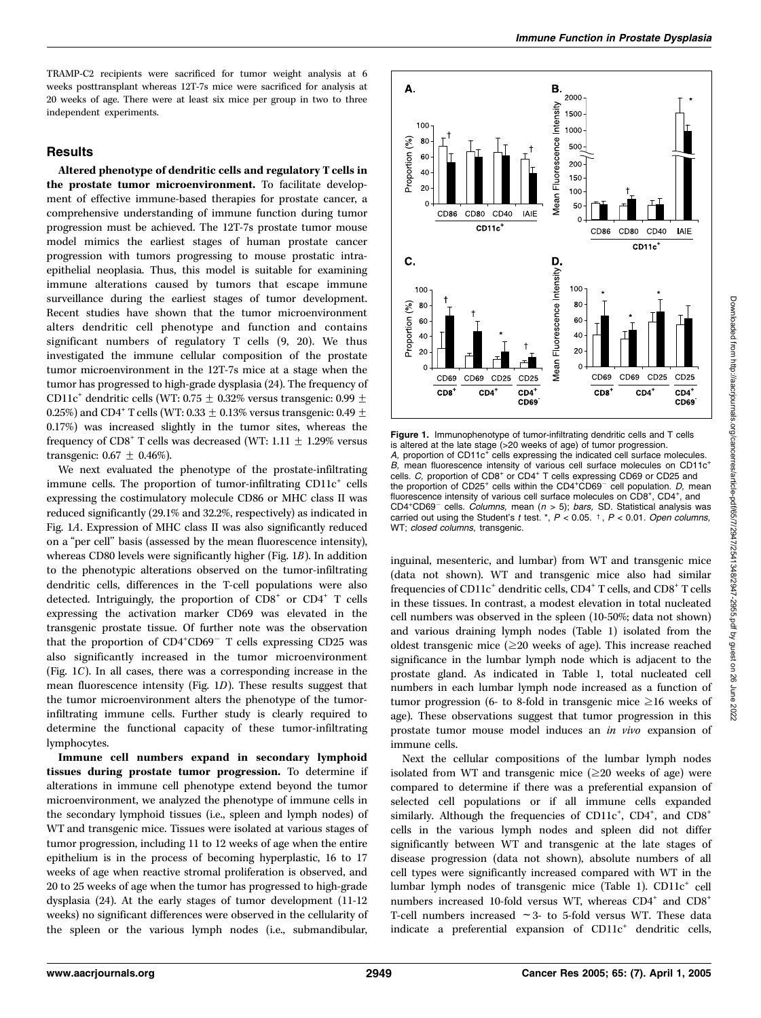TRAMP-C2 recipients were sacrificed for tumor weight analysis at 6 weeks posttransplant whereas 12T-7s mice were sacrificed for analysis at 20 weeks of age. There were at least six mice per group in two to three independent experiments.

### **Results**

Altered phenotype of dendritic cells and regulatory T cells in the prostate tumor microenvironment. To facilitate development of effective immune-based therapies for prostate cancer, a comprehensive understanding of immune function during tumor progression must be achieved. The 12T-7s prostate tumor mouse model mimics the earliest stages of human prostate cancer progression with tumors progressing to mouse prostatic intraepithelial neoplasia. Thus, this model is suitable for examining immune alterations caused by tumors that escape immune surveillance during the earliest stages of tumor development. Recent studies have shown that the tumor microenvironment alters dendritic cell phenotype and function and contains significant numbers of regulatory T cells (9, 20). We thus investigated the immune cellular composition of the prostate tumor microenvironment in the 12T-7s mice at a stage when the tumor has progressed to high-grade dysplasia (24). The frequency of CD11c<sup>+</sup> dendritic cells (WT: 0.75  $\pm$  0.32% versus transgenic: 0.99  $\pm$ 0.25%) and CD4<sup>+</sup> T cells (WT: 0.33  $\pm$  0.13% versus transgenic: 0.49  $\pm$ 0.17%) was increased slightly in the tumor sites, whereas the frequency of CD8<sup>+</sup> T cells was decreased (WT:  $1.11 \pm 1.29\%$  versus transgenic:  $0.67 \pm 0.46\%$ ).

We next evaluated the phenotype of the prostate-infiltrating immune cells. The proportion of tumor-infiltrating  $CD11c^+$  cells expressing the costimulatory molecule CD86 or MHC class II was reduced significantly (29.1% and 32.2%, respectively) as indicated in Fig. 1A. Expression of MHC class II was also significantly reduced on a ''per cell'' basis (assessed by the mean fluorescence intensity), whereas CD80 levels were significantly higher (Fig. 1B). In addition to the phenotypic alterations observed on the tumor-infiltrating dendritic cells, differences in the T-cell populations were also detected. Intriguingly, the proportion of  $CD8<sup>+</sup>$  or  $CD4<sup>+</sup>$  T cells expressing the activation marker CD69 was elevated in the transgenic prostate tissue. Of further note was the observation that the proportion of CD4<sup>+</sup>CD69<sup>-</sup> T cells expressing CD25 was also significantly increased in the tumor microenvironment (Fig. 1C). In all cases, there was a corresponding increase in the mean fluorescence intensity (Fig. 1D). These results suggest that the tumor microenvironment alters the phenotype of the tumorinfiltrating immune cells. Further study is clearly required to determine the functional capacity of these tumor-infiltrating lymphocytes.

Immune cell numbers expand in secondary lymphoid tissues during prostate tumor progression. To determine if alterations in immune cell phenotype extend beyond the tumor microenvironment, we analyzed the phenotype of immune cells in the secondary lymphoid tissues (i.e., spleen and lymph nodes) of WT and transgenic mice. Tissues were isolated at various stages of tumor progression, including 11 to 12 weeks of age when the entire epithelium is in the process of becoming hyperplastic, 16 to 17 weeks of age when reactive stromal proliferation is observed, and 20 to 25 weeks of age when the tumor has progressed to high-grade dysplasia (24). At the early stages of tumor development (11-12 weeks) no significant differences were observed in the cellularity of the spleen or the various lymph nodes (i.e., submandibular,



Figure 1. Immunophenotype of tumor-infiltrating dendritic cells and T cells is altered at the late stage (>20 weeks of age) of tumor progression. A, proportion of CD11c<sup>+</sup> cells expressing the indicated cell surface molecules. B, mean fluorescence intensity of various cell surface molecules on CD11c<sup>+</sup> cells. C, proportion of CD8<sup>+</sup> or CD4<sup>+</sup> T cells expressing CD69 or CD25 and the proportion of CD25<sup>+</sup> cells within the CD4<sup>+</sup>CD69<sup>-</sup> cell population. D, mean fluorescence intensity of various cell surface molecules on CD8+, CD4+, and CD4<sup>+</sup>CD69<sup>-</sup> cells. Columns, mean ( $n > 5$ ); bars, SD. Statistical analysis was carried out using the Student's t test. \*,  $P < 0.05$ . \*,  $P < 0.01$ . Open columns, WT; closed columns, transgenic.

inguinal, mesenteric, and lumbar) from WT and transgenic mice (data not shown). WT and transgenic mice also had similar frequencies of CD11c<sup>+</sup> dendritic cells, CD4<sup>+</sup> T cells, and CD8<sup>+</sup> T cells in these tissues. In contrast, a modest elevation in total nucleated cell numbers was observed in the spleen (10-50%; data not shown) and various draining lymph nodes (Table 1) isolated from the oldest transgenic mice  $(\geq 20$  weeks of age). This increase reached significance in the lumbar lymph node which is adjacent to the prostate gland. As indicated in Table 1, total nucleated cell numbers in each lumbar lymph node increased as a function of tumor progression (6- to 8-fold in transgenic mice  $\geq 16$  weeks of age). These observations suggest that tumor progression in this prostate tumor mouse model induces an in vivo expansion of immune cells.

Next the cellular compositions of the lumbar lymph nodes isolated from WT and transgenic mice  $(\geq 20$  weeks of age) were compared to determine if there was a preferential expansion of selected cell populations or if all immune cells expanded similarly. Although the frequencies of CD11c<sup>+</sup>, CD4<sup>+</sup>, and CD8<sup>+</sup> cells in the various lymph nodes and spleen did not differ significantly between WT and transgenic at the late stages of disease progression (data not shown), absolute numbers of all cell types were significantly increased compared with WT in the lumbar lymph nodes of transgenic mice (Table 1). CD11c<sup>+</sup> cell numbers increased 10-fold versus WT, whereas  $CD4^+$  and  $CD8^+$ T-cell numbers increased  $\sim$  3- to 5-fold versus WT. These data indicate a preferential expansion of  $CD11c<sup>+</sup>$  dendritic cells,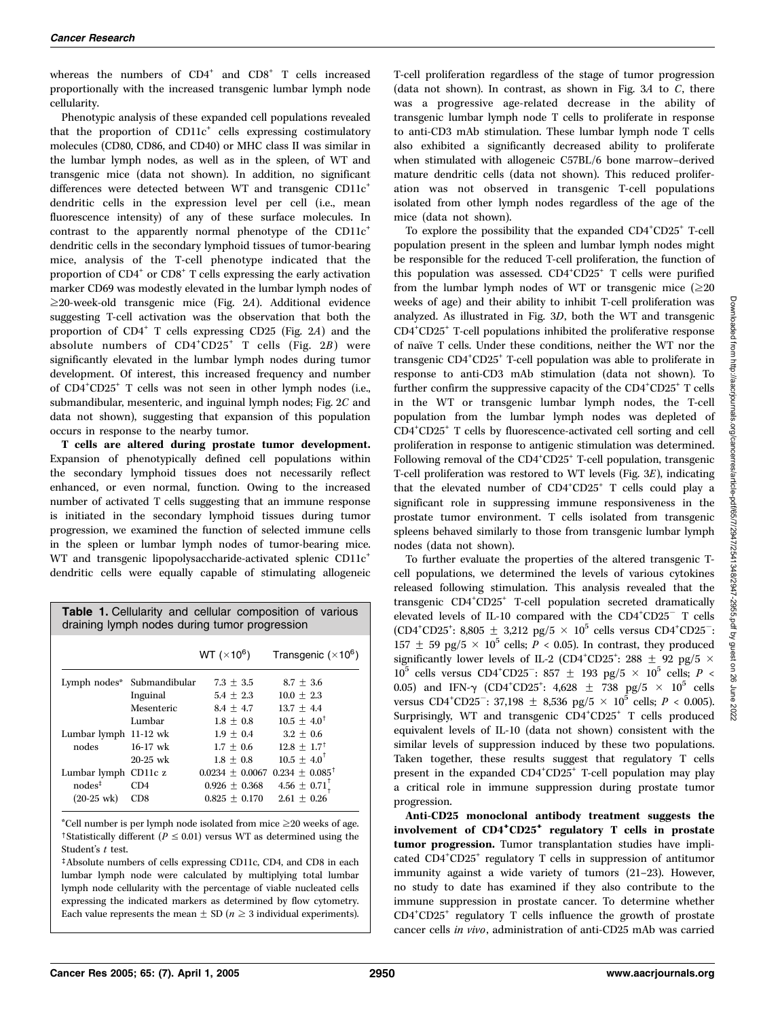whereas the numbers of  $CD4^+$  and  $CD8^+$  T cells increased proportionally with the increased transgenic lumbar lymph node cellularity.

Phenotypic analysis of these expanded cell populations revealed that the proportion of  $CD11c^+$  cells expressing costimulatory molecules (CD80, CD86, and CD40) or MHC class II was similar in the lumbar lymph nodes, as well as in the spleen, of WT and transgenic mice (data not shown). In addition, no significant differences were detected between WT and transgenic CD11c<sup>+</sup> dendritic cells in the expression level per cell (i.e., mean fluorescence intensity) of any of these surface molecules. In contrast to the apparently normal phenotype of the  $CD11c<sup>+</sup>$ dendritic cells in the secondary lymphoid tissues of tumor-bearing mice, analysis of the T-cell phenotype indicated that the proportion of  $CD4^+$  or  $CD8^+$  T cells expressing the early activation marker CD69 was modestly elevated in the lumbar lymph nodes of  $\geq$ 20-week-old transgenic mice (Fig. 2A). Additional evidence suggesting T-cell activation was the observation that both the proportion of  $CD4^+$  T cells expressing CD25 (Fig. 2A) and the absolute numbers of  $CD4^+CD25^+$  T cells (Fig. 2B) were significantly elevated in the lumbar lymph nodes during tumor development. Of interest, this increased frequency and number of CD4<sup>+</sup> CD25<sup>+</sup> T cells was not seen in other lymph nodes (i.e., submandibular, mesenteric, and inguinal lymph nodes; Fig. 2C and data not shown), suggesting that expansion of this population occurs in response to the nearby tumor.

T cells are altered during prostate tumor development. Expansion of phenotypically defined cell populations within the secondary lymphoid tissues does not necessarily reflect enhanced, or even normal, function. Owing to the increased number of activated T cells suggesting that an immune response is initiated in the secondary lymphoid tissues during tumor progression, we examined the function of selected immune cells in the spleen or lumbar lymph nodes of tumor-bearing mice. WT and transgenic lipopolysaccharide-activated splenic CD11c<sup>+</sup> dendritic cells were equally capable of stimulating allogeneic

| <b>Table 1.</b> Cellularity and cellular composition of various<br>draining lymph nodes during tumor progression |                            |                    |                           |
|------------------------------------------------------------------------------------------------------------------|----------------------------|--------------------|---------------------------|
|                                                                                                                  |                            | WT $(\times 10^6)$ | Transgenic $(x10^6)$      |
|                                                                                                                  | Lymph nodes* Submandibular | $7.3 + 3.5$        | $8.7 + 3.6$               |
|                                                                                                                  | Inguinal                   | $5.4 + 2.3$        | $10.0 + 2.3$              |
|                                                                                                                  | Mesenteric                 | $8.4 + 4.7$        | $13.7 + 4.4$              |
|                                                                                                                  | Lumbar                     | $1.8 + 0.8$        | $10.5 + 4.0^{\dagger}$    |
| Lumbar lymph 11-12 wk                                                                                            |                            | $1.9 + 0.4$        | $3.2 + 0.6$               |
| nodes                                                                                                            | $16-17$ wk                 | $1.7 + 0.6$        | $12.8 + 1.7^{\dagger}$    |
|                                                                                                                  | $20 - 25$ wk               | $1.8 + 0.8$        | $10.5 + 4.0^{\dagger}$    |
| Lumbar lymph CD11c z                                                                                             |                            | $0.0234 + 0.0067$  | $0.234 + 0.085^{\dagger}$ |
| $nodes^{\ddagger}$                                                                                               | CD4                        | $0.926 + 0.368$    | $4.56 \pm 0.71$           |
| $(20-25 \text{ wk})$                                                                                             | CD <sub>8</sub>            | $0.825 + 0.170$    | $2.61 + 0.26$             |

\*Cell number is per lymph node isolated from mice  $\geq$ 20 weeks of age. <sup>†</sup>Statistically different ( $P \le 0.01$ ) versus WT as determined using the Student's t test.

 $\text{\textsterling}$ Absolute numbers of cells expressing CD11c, CD4, and CD8 in each lumbar lymph node were calculated by multiplying total lumbar lymph node cellularity with the percentage of viable nucleated cells expressing the indicated markers as determined by flow cytometry. Each value represents the mean  $\pm$  SD ( $n \geq 3$  individual experiments).

T-cell proliferation regardless of the stage of tumor progression (data not shown). In contrast, as shown in Fig.  $3A$  to C, there was a progressive age-related decrease in the ability of transgenic lumbar lymph node T cells to proliferate in response to anti-CD3 mAb stimulation. These lumbar lymph node T cells also exhibited a significantly decreased ability to proliferate when stimulated with allogeneic C57BL/6 bone marrow–derived mature dendritic cells (data not shown). This reduced proliferation was not observed in transgenic T-cell populations isolated from other lymph nodes regardless of the age of the mice (data not shown).

To explore the possibility that the expanded CD4<sup>+</sup>CD25<sup>+</sup> T-cell population present in the spleen and lumbar lymph nodes might be responsible for the reduced T-cell proliferation, the function of this population was assessed.  $CD4^+CD25^+$  T cells were purified from the lumbar lymph nodes of WT or transgenic mice  $(\geq 20)$ weeks of age) and their ability to inhibit T-cell proliferation was analyzed. As illustrated in Fig. 3D, both the WT and transgenic CD4<sup>+</sup> CD25<sup>+</sup> T-cell populations inhibited the proliferative response of naïve T cells. Under these conditions, neither the WT nor the transgenic CD4<sup>+</sup>CD25<sup>+</sup> T-cell population was able to proliferate in response to anti-CD3 mAb stimulation (data not shown). To further confirm the suppressive capacity of the CD4<sup>+</sup>CD25<sup>+</sup> T cells in the WT or transgenic lumbar lymph nodes, the T-cell population from the lumbar lymph nodes was depleted of CD4<sup>+</sup> CD25<sup>+</sup> T cells by fluorescence-activated cell sorting and cell proliferation in response to antigenic stimulation was determined. Following removal of the CD4+CD25+ T-cell population, transgenic T-cell proliferation was restored to WT levels (Fig. 3E), indicating that the elevated number of CD4<sup>+</sup>CD25<sup>+</sup> T cells could play a significant role in suppressing immune responsiveness in the prostate tumor environment. T cells isolated from transgenic spleens behaved similarly to those from transgenic lumbar lymph nodes (data not shown).

To further evaluate the properties of the altered transgenic Tcell populations, we determined the levels of various cytokines released following stimulation. This analysis revealed that the transgenic CD4<sup>+</sup> CD25<sup>+</sup> T-cell population secreted dramatically elevated levels of IL-10 compared with the CD4+CD25 T cells  $(CD4^{\dagger}CD25^{\dagger}: 8,805 \pm 3,212 \text{ pg}/5 \times 10^5 \text{ cells} \text{ versus } CD4^{\dagger}CD25^{-}$ :  $157 \pm 59$  pg/5  $\times$  10<sup>5</sup> cells; P < 0.05). In contrast, they produced significantly lower levels of IL-2 (CD4<sup>+</sup>CD25<sup>+</sup>: 288  $\pm$  92 pg/5  $\times$  $10^5$  cells versus CD4<sup>+</sup>CD25<sup>-</sup>: 857  $\pm$  193 pg/5  $\times$  10<sup>5</sup> cells; P < 0.05) and IFN- $\gamma$  (CD4<sup>+</sup>CD25<sup>+</sup>: 4,628  $\pm$  738 pg/5  $\times$  10<sup>5</sup> cells versus CD4<sup>+</sup>CD25<sup>-</sup>: 37,198  $\pm$  8,536 pg/5  $\times$  10<sup>5</sup> cells; *P* < 0.005). Surprisingly, WT and transgenic  $CD4^+CD25^+$  T cells produced equivalent levels of IL-10 (data not shown) consistent with the similar levels of suppression induced by these two populations. Taken together, these results suggest that regulatory T cells present in the expanded CD4<sup>+</sup>CD25<sup>+</sup> T-cell population may play a critical role in immune suppression during prostate tumor progression.

Anti-CD25 monoclonal antibody treatment suggests the involvement of  $CD4^+CD25^+$  regulatory T cells in prostate tumor progression. Tumor transplantation studies have implicated CD4+ CD25+ regulatory T cells in suppression of antitumor immunity against a wide variety of tumors (21–23). However, no study to date has examined if they also contribute to the immune suppression in prostate cancer. To determine whether CD4<sup>+</sup> CD25<sup>+</sup> regulatory T cells influence the growth of prostate cancer cells in vivo, administration of anti-CD25 mAb was carried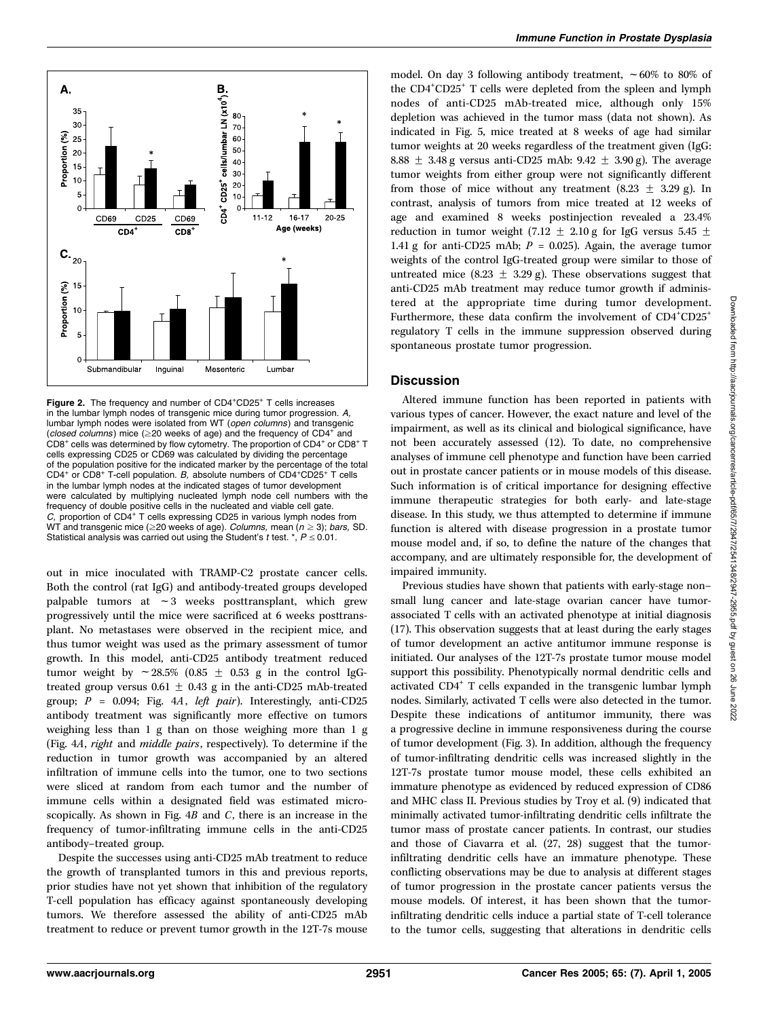

Figure 2. The frequency and number of CD4<sup>+</sup>CD25<sup>+</sup> T cells increases in the lumbar lymph nodes of transgenic mice during tumor progression. A, lumbar lymph nodes were isolated from WT (open columns) and transgenic (closed columns) mice ( $\geq$ 20 weeks of age) and the frequency of CD4<sup>+</sup> and CD8<sup>+</sup> cells was determined by flow cytometry. The proportion of CD4<sup>+</sup> or CD8<sup>+</sup> T cells expressing CD25 or CD69 was calculated by dividing the percentage of the population positive for the indicated marker by the percentage of the total CD4<sup>+</sup> or CD8<sup>+</sup> T-cell population. B, absolute numbers of CD4<sup>+</sup>CD25<sup>+</sup> T cells in the lumbar lymph nodes at the indicated stages of tumor development were calculated by multiplying nucleated lymph node cell numbers with the frequency of double positive cells in the nucleated and viable cell gate. C, proportion of CD4<sup>+</sup> T cells expressing CD25 in various lymph nodes from WT and transgenic mice (≥20 weeks of age). *Columns,* mean (*n* ≥ 3); *bars,* SD.<br>Statistical analysis was carried out using the Student's *t* test. \*, *P* ≤ 0.01.

out in mice inoculated with TRAMP-C2 prostate cancer cells. Both the control (rat IgG) and antibody-treated groups developed palpable tumors at  $\sim$  3 weeks posttransplant, which grew progressively until the mice were sacrificed at 6 weeks posttransplant. No metastases were observed in the recipient mice, and thus tumor weight was used as the primary assessment of tumor growth. In this model, anti-CD25 antibody treatment reduced tumor weight by  $\sim 28.5\%$  (0.85  $\pm$  0.53 g in the control IgGtreated group versus  $0.61 \pm 0.43$  g in the anti-CD25 mAb-treated group;  $P = 0.094$ ; Fig. 4A, left pair). Interestingly, anti-CD25 antibody treatment was significantly more effective on tumors weighing less than 1 g than on those weighing more than 1 g (Fig. 4A, right and middle pairs, respectively). To determine if the reduction in tumor growth was accompanied by an altered infiltration of immune cells into the tumor, one to two sections were sliced at random from each tumor and the number of immune cells within a designated field was estimated microscopically. As shown in Fig.  $4B$  and C, there is an increase in the frequency of tumor-infiltrating immune cells in the anti-CD25 antibody–treated group.

Despite the successes using anti-CD25 mAb treatment to reduce the growth of transplanted tumors in this and previous reports, prior studies have not yet shown that inhibition of the regulatory T-cell population has efficacy against spontaneously developing tumors. We therefore assessed the ability of anti-CD25 mAb treatment to reduce or prevent tumor growth in the 12T-7s mouse

model. On day 3 following antibody treatment,  $\sim 60\%$  to 80% of the CD4<sup>+</sup>CD25<sup>+</sup> T cells were depleted from the spleen and lymph nodes of anti-CD25 mAb-treated mice, although only 15% depletion was achieved in the tumor mass (data not shown). As indicated in Fig. 5, mice treated at 8 weeks of age had similar tumor weights at 20 weeks regardless of the treatment given (IgG: 8.88  $\pm$  3.48 g versus anti-CD25 mAb: 9.42  $\pm$  3.90 g). The average tumor weights from either group were not significantly different from those of mice without any treatment  $(8.23 \pm 3.29 \text{ g})$ . In contrast, analysis of tumors from mice treated at 12 weeks of age and examined 8 weeks postinjection revealed a 23.4% reduction in tumor weight (7.12  $\pm$  2.10 g for IgG versus 5.45  $\pm$ 1.41 g for anti-CD25 mAb;  $P = 0.025$ ). Again, the average tumor weights of the control IgG-treated group were similar to those of untreated mice (8.23  $\pm$  3.29 g). These observations suggest that anti-CD25 mAb treatment may reduce tumor growth if administered at the appropriate time during tumor development. Furthermore, these data confirm the involvement of CD4<sup>+</sup>CD25<sup>+</sup> regulatory T cells in the immune suppression observed during spontaneous prostate tumor progression.

## **Discussion**

Altered immune function has been reported in patients with various types of cancer. However, the exact nature and level of the impairment, as well as its clinical and biological significance, have not been accurately assessed (12). To date, no comprehensive analyses of immune cell phenotype and function have been carried out in prostate cancer patients or in mouse models of this disease. Such information is of critical importance for designing effective immune therapeutic strategies for both early- and late-stage disease. In this study, we thus attempted to determine if immune function is altered with disease progression in a prostate tumor mouse model and, if so, to define the nature of the changes that accompany, and are ultimately responsible for, the development of impaired immunity.

Previous studies have shown that patients with early-stage non– small lung cancer and late-stage ovarian cancer have tumorassociated T cells with an activated phenotype at initial diagnosis (17). This observation suggests that at least during the early stages of tumor development an active antitumor immune response is initiated. Our analyses of the 12T-7s prostate tumor mouse model support this possibility. Phenotypically normal dendritic cells and activated CD4+ T cells expanded in the transgenic lumbar lymph nodes. Similarly, activated T cells were also detected in the tumor. Despite these indications of antitumor immunity, there was a progressive decline in immune responsiveness during the course of tumor development (Fig. 3). In addition, although the frequency of tumor-infiltrating dendritic cells was increased slightly in the 12T-7s prostate tumor mouse model, these cells exhibited an immature phenotype as evidenced by reduced expression of CD86 and MHC class II. Previous studies by Troy et al. (9) indicated that minimally activated tumor-infiltrating dendritic cells infiltrate the tumor mass of prostate cancer patients. In contrast, our studies and those of Ciavarra et al. (27, 28) suggest that the tumorinfiltrating dendritic cells have an immature phenotype. These conflicting observations may be due to analysis at different stages of tumor progression in the prostate cancer patients versus the mouse models. Of interest, it has been shown that the tumorinfiltrating dendritic cells induce a partial state of T-cell tolerance to the tumor cells, suggesting that alterations in dendritic cells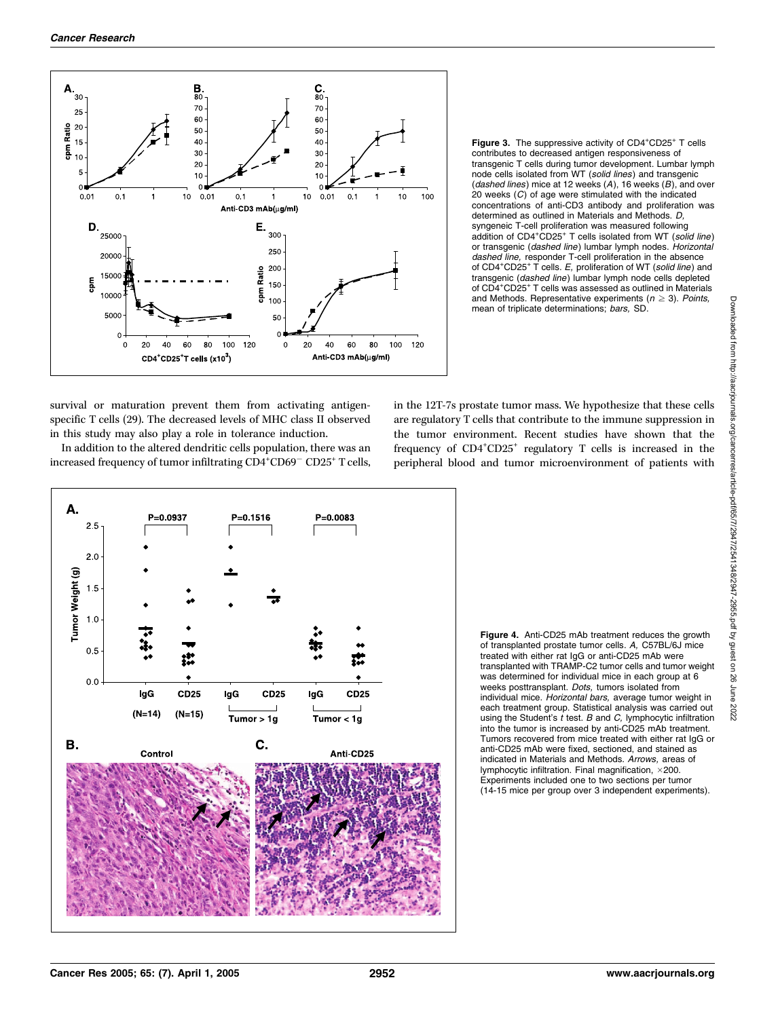

Figure 3. The suppressive activity of CD4+CD25+ T cells contributes to decreased antigen responsiveness of transgenic T cells during tumor development. Lumbar lymph node cells isolated from WT (solid lines) and transgenic (dashed lines) mice at 12 weeks  $(A)$ , 16 weeks  $(B)$ , and over 20 weeks (C) of age were stimulated with the indicated concentrations of anti-CD3 antibody and proliferation was determined as outlined in Materials and Methods. D, syngeneic T-cell proliferation was measured following addition of CD4<sup>+</sup>CD25<sup>+</sup> T cells isolated from WT (solid line) or transgenic (dashed line) lumbar lymph nodes. Horizontal dashed line, responder T-cell proliferation in the absence of CD4<sup>+</sup>CD25<sup>+</sup> T cells. E, proliferation of WT (solid line) and transgenic (dashed line) lumbar lymph node cells depleted of CD4<sup>+</sup> CD25<sup>+</sup> T cells was assessed as outlined in Materials and Methods. Representative experiments ( $n \geq 3$ ). Points, mean of triplicate determinations; bars, SD.

survival or maturation prevent them from activating antigenspecific T cells (29). The decreased levels of MHC class II observed in this study may also play a role in tolerance induction.

In addition to the altered dendritic cells population, there was an increased frequency of tumor infiltrating CD4<sup>+</sup>CD69<sup>-</sup> CD25<sup>+</sup> T cells,

in the 12T-7s prostate tumor mass. We hypothesize that these cells are regulatory T cells that contribute to the immune suppression in the tumor environment. Recent studies have shown that the frequency of  $CD4^+CD25^+$  regulatory T cells is increased in the peripheral blood and tumor microenvironment of patients with



Figure 4. Anti-CD25 mAb treatment reduces the growth of transplanted prostate tumor cells. A, C57BL/6J mice treated with either rat IgG or anti-CD25 mAb were transplanted with TRAMP-C2 tumor cells and tumor weight was determined for individual mice in each group at 6 weeks posttransplant. Dots, tumors isolated from individual mice. Horizontal bars, average tumor weight in each treatment group. Statistical analysis was carried out using the Student's  $t$  test.  $B$  and  $C$ , lymphocytic infiltration into the tumor is increased by anti-CD25 mAb treatment. Tumors recovered from mice treated with either rat IgG or anti-CD25 mAb were fixed, sectioned, and stained as indicated in Materials and Methods. Arrows, areas of lymphocytic infiltration. Final magnification, ×200. Experiments included one to two sections per tumor (14-15 mice per group over 3 independent experiments).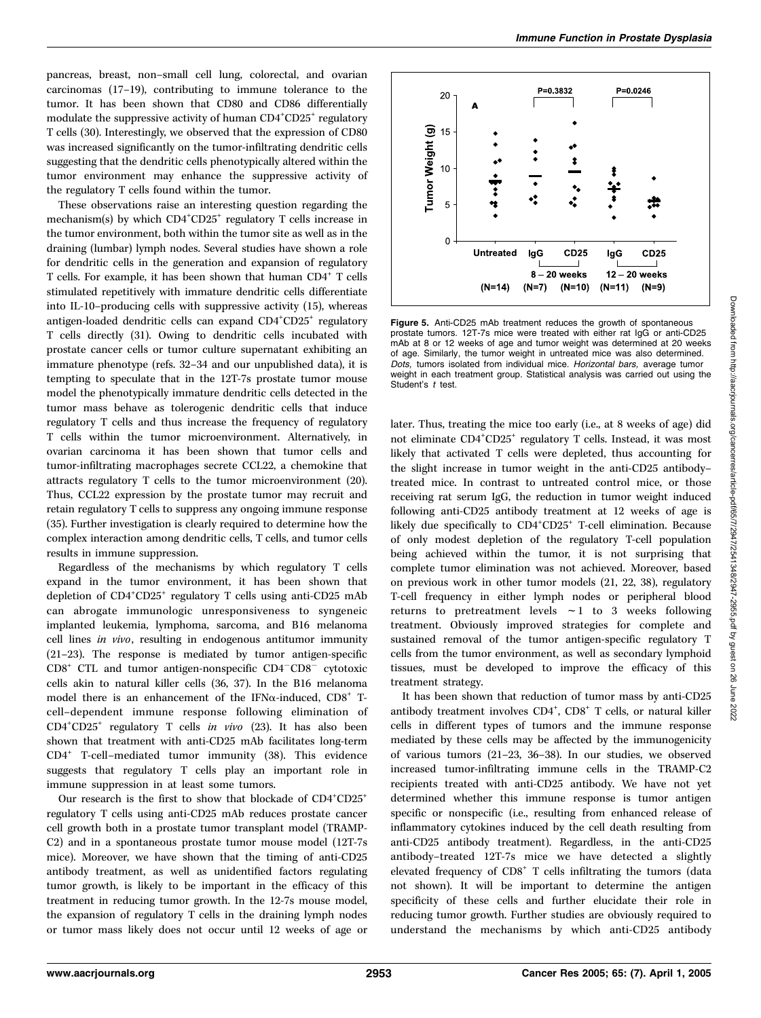pancreas, breast, non–small cell lung, colorectal, and ovarian carcinomas (17–19), contributing to immune tolerance to the tumor. It has been shown that CD80 and CD86 differentially modulate the suppressive activity of human CD4<sup>+</sup>CD25<sup>+</sup> regulatory T cells (30). Interestingly, we observed that the expression of CD80 was increased significantly on the tumor-infiltrating dendritic cells suggesting that the dendritic cells phenotypically altered within the tumor environment may enhance the suppressive activity of the regulatory T cells found within the tumor.

These observations raise an interesting question regarding the mechanism(s) by which  $CD4^+CD25^+$  regulatory T cells increase in the tumor environment, both within the tumor site as well as in the draining (lumbar) lymph nodes. Several studies have shown a role for dendritic cells in the generation and expansion of regulatory T cells. For example, it has been shown that human CD4+ T cells stimulated repetitively with immature dendritic cells differentiate into IL-10–producing cells with suppressive activity (15), whereas antigen-loaded dendritic cells can expand CD4+CD25+ regulatory T cells directly (31). Owing to dendritic cells incubated with prostate cancer cells or tumor culture supernatant exhibiting an immature phenotype (refs. 32–34 and our unpublished data), it is tempting to speculate that in the 12T-7s prostate tumor mouse model the phenotypically immature dendritic cells detected in the tumor mass behave as tolerogenic dendritic cells that induce regulatory T cells and thus increase the frequency of regulatory T cells within the tumor microenvironment. Alternatively, in ovarian carcinoma it has been shown that tumor cells and tumor-infiltrating macrophages secrete CCL22, a chemokine that attracts regulatory T cells to the tumor microenvironment (20). Thus, CCL22 expression by the prostate tumor may recruit and retain regulatory T cells to suppress any ongoing immune response (35). Further investigation is clearly required to determine how the complex interaction among dendritic cells, T cells, and tumor cells results in immune suppression.

Regardless of the mechanisms by which regulatory T cells expand in the tumor environment, it has been shown that depletion of CD4<sup>+</sup>CD25<sup>+</sup> regulatory T cells using anti-CD25 mAb can abrogate immunologic unresponsiveness to syngeneic implanted leukemia, lymphoma, sarcoma, and B16 melanoma cell lines in vivo, resulting in endogenous antitumor immunity (21–23). The response is mediated by tumor antigen-specific CD8<sup>+</sup> CTL and tumor antigen-nonspecific CD4<sup>-</sup>CD8<sup>-</sup> cytotoxic cells akin to natural killer cells (36, 37). In the B16 melanoma model there is an enhancement of the IFN $\alpha$ -induced, CD8<sup>+</sup> Tcell–dependent immune response following elimination of CD4<sup>+</sup>CD25<sup>+</sup> regulatory T cells in vivo (23). It has also been shown that treatment with anti-CD25 mAb facilitates long-term CD4<sup>+</sup> T-cell–mediated tumor immunity (38). This evidence suggests that regulatory T cells play an important role in immune suppression in at least some tumors.

Our research is the first to show that blockade of CD4<sup>+</sup>CD25<sup>+</sup> regulatory T cells using anti-CD25 mAb reduces prostate cancer cell growth both in a prostate tumor transplant model (TRAMP-C2) and in a spontaneous prostate tumor mouse model (12T-7s mice). Moreover, we have shown that the timing of anti-CD25 antibody treatment, as well as unidentified factors regulating tumor growth, is likely to be important in the efficacy of this treatment in reducing tumor growth. In the 12-7s mouse model, the expansion of regulatory T cells in the draining lymph nodes or tumor mass likely does not occur until 12 weeks of age or



Figure 5. Anti-CD25 mAb treatment reduces the growth of spontaneous prostate tumors. 12T-7s mice were treated with either rat IgG or anti-CD25 mAb at 8 or 12 weeks of age and tumor weight was determined at 20 weeks of age. Similarly, the tumor weight in untreated mice was also determined. Dots, tumors isolated from individual mice. Horizontal bars, average tumor weight in each treatment group. Statistical analysis was carried out using the Student's t test.

later. Thus, treating the mice too early (i.e., at 8 weeks of age) did not eliminate CD4<sup>+</sup> CD25+ regulatory T cells. Instead, it was most likely that activated T cells were depleted, thus accounting for the slight increase in tumor weight in the anti-CD25 antibody– treated mice. In contrast to untreated control mice, or those receiving rat serum IgG, the reduction in tumor weight induced following anti-CD25 antibody treatment at 12 weeks of age is likely due specifically to CD4<sup>+</sup>CD25<sup>+</sup> T-cell elimination. Because of only modest depletion of the regulatory T-cell population being achieved within the tumor, it is not surprising that complete tumor elimination was not achieved. Moreover, based on previous work in other tumor models (21, 22, 38), regulatory T-cell frequency in either lymph nodes or peripheral blood returns to pretreatment levels  $\sim$  1 to 3 weeks following treatment. Obviously improved strategies for complete and sustained removal of the tumor antigen-specific regulatory T cells from the tumor environment, as well as secondary lymphoid tissues, must be developed to improve the efficacy of this treatment strategy.

It has been shown that reduction of tumor mass by anti-CD25 antibody treatment involves CD4<sup>+</sup>, CD8<sup>+</sup> T cells, or natural killer cells in different types of tumors and the immune response mediated by these cells may be affected by the immunogenicity of various tumors (21–23, 36–38). In our studies, we observed increased tumor-infiltrating immune cells in the TRAMP-C2 recipients treated with anti-CD25 antibody. We have not yet determined whether this immune response is tumor antigen specific or nonspecific (i.e., resulting from enhanced release of inflammatory cytokines induced by the cell death resulting from anti-CD25 antibody treatment). Regardless, in the anti-CD25 antibody–treated 12T-7s mice we have detected a slightly elevated frequency of  $CD8<sup>+</sup>$  T cells infiltrating the tumors (data not shown). It will be important to determine the antigen specificity of these cells and further elucidate their role in reducing tumor growth. Further studies are obviously required to understand the mechanisms by which anti-CD25 antibody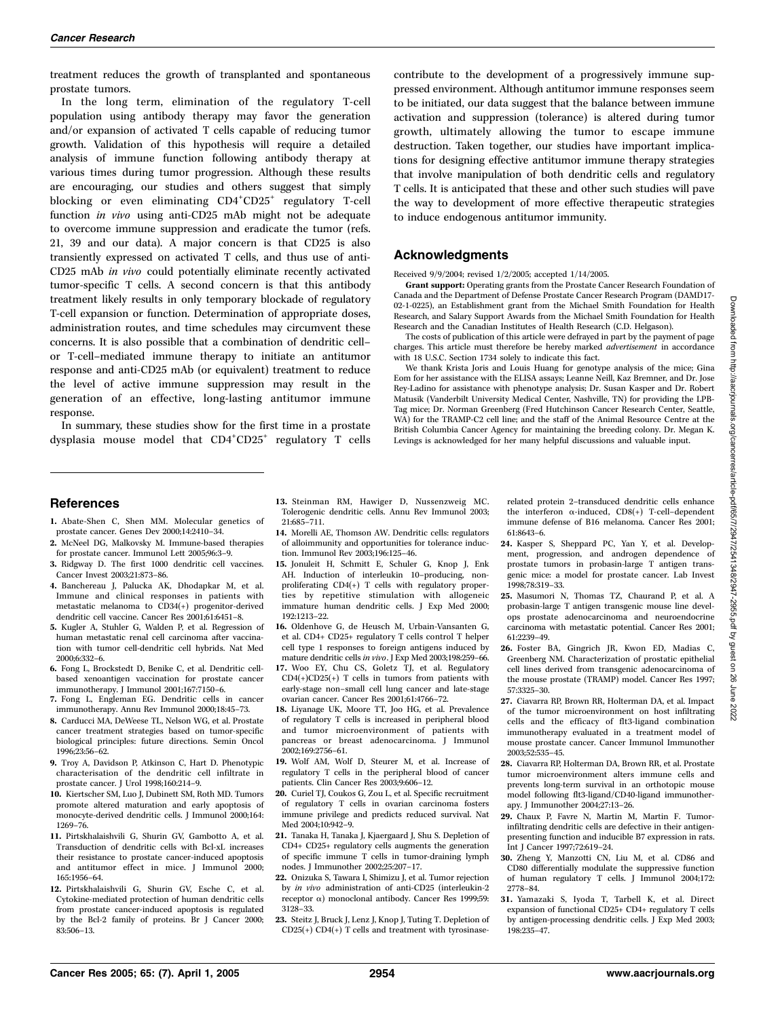treatment reduces the growth of transplanted and spontaneous prostate tumors.

In the long term, elimination of the regulatory T-cell population using antibody therapy may favor the generation and/or expansion of activated T cells capable of reducing tumor growth. Validation of this hypothesis will require a detailed analysis of immune function following antibody therapy at various times during tumor progression. Although these results are encouraging, our studies and others suggest that simply blocking or even eliminating CD4+CD25+ regulatory T-cell function in vivo using anti-CD25 mAb might not be adequate to overcome immune suppression and eradicate the tumor (refs. 21, 39 and our data). A major concern is that CD25 is also transiently expressed on activated T cells, and thus use of anti-CD25 mAb in vivo could potentially eliminate recently activated tumor-specific T cells. A second concern is that this antibody treatment likely results in only temporary blockade of regulatory T-cell expansion or function. Determination of appropriate doses, administration routes, and time schedules may circumvent these concerns. It is also possible that a combination of dendritic cell– or T-cell–mediated immune therapy to initiate an antitumor response and anti-CD25 mAb (or equivalent) treatment to reduce the level of active immune suppression may result in the generation of an effective, long-lasting antitumor immune response.

In summary, these studies show for the first time in a prostate dysplasia mouse model that CD4+CD25+ regulatory T cells

contribute to the development of a progressively immune suppressed environment. Although antitumor immune responses seem to be initiated, our data suggest that the balance between immune activation and suppression (tolerance) is altered during tumor growth, ultimately allowing the tumor to escape immune destruction. Taken together, our studies have important implications for designing effective antitumor immune therapy strategies that involve manipulation of both dendritic cells and regulatory T cells. It is anticipated that these and other such studies will pave the way to development of more effective therapeutic strategies to induce endogenous antitumor immunity.

### Acknowledgments

Received 9/9/2004; revised 1/2/2005; accepted 1/14/2005.

Grant support: Operating grants from the Prostate Cancer Research Foundation of Canada and the Department of Defense Prostate Cancer Research Program (DAMD17- 02-1-0225), an Establishment grant from the Michael Smith Foundation for Health Research, and Salary Support Awards from the Michael Smith Foundation for Health Research and the Canadian Institutes of Health Research (C.D. Helgason).

The costs of publication of this article were defrayed in part by the payment of page charges. This article must therefore be hereby marked advertisement in accordance with 18 U.S.C. Section 1734 solely to indicate this fact.

We thank Krista Joris and Louis Huang for genotype analysis of the mice; Gina Eom for her assistance with the ELISA assays; Leanne Neill, Kaz Bremner, and Dr. Jose Rey-Ladino for assistance with phenotype analysis; Dr. Susan Kasper and Dr. Robert Matusik (Vanderbilt University Medical Center, Nashville, TN) for providing the LPB-Tag mice; Dr. Norman Greenberg (Fred Hutchinson Cancer Research Center, Seattle, WA) for the TRAMP-C2 cell line; and the staff of the Animal Resource Centre at the British Columbia Cancer Agency for maintaining the breeding colony. Dr. Megan K. Levings is acknowledged for her many helpful discussions and valuable input.

### **References**

- 1. Abate-Shen C, Shen MM. Molecular genetics of prostate cancer. Genes Dev 2000;14:2410–34.
- 2. McNeel DG, Malkovsky M. Immune-based therapies for prostate cancer. Immunol Lett 2005;96:3–9.
- 3. Ridgway D. The first 1000 dendritic cell vaccines. Cancer Invest 2003;21:873–86.
- 4. Banchereau J, Palucka AK, Dhodapkar M, et al. Immune and clinical responses in patients with metastatic melanoma to CD34(+) progenitor-derived dendritic cell vaccine. Cancer Res 2001;61:6451–8.
- 5. Kugler A, Stuhler G, Walden P, et al. Regression of human metastatic renal cell carcinoma after vaccination with tumor cell-dendritic cell hybrids. Nat Med 2000;6:332–6.
- 6. Fong L, Brockstedt D, Benike C, et al. Dendritic cellbased xenoantigen vaccination for prostate cancer immunotherapy. J Immunol 2001;167:7150–6.
- 7. Fong L, Engleman EG. Dendritic cells in cancer immunotherapy. Annu Rev Immunol 2000;18:45–73.
- 8. Carducci MA, DeWeese TL, Nelson WG, et al. Prostate cancer treatment strategies based on tumor-specific biological principles: future directions. Semin Oncol 1996;23:56–62.
- 9. Troy A, Davidson P, Atkinson C, Hart D. Phenotypic characterisation of the dendritic cell infiltrate in prostate cancer. J Urol 1998;160:214–9.
- 10. Kiertscher SM, Luo J, Dubinett SM, Roth MD. Tumors promote altered maturation and early apoptosis of monocyte-derived dendritic cells. J Immunol 2000;164: 1269–76.
- 11. Pirtskhalaishvili G, Shurin GV, Gambotto A, et al. Transduction of dendritic cells with Bcl-xL increases their resistance to prostate cancer-induced apoptosis and antitumor effect in mice. J Immunol 2000; 165:1956–64.
- 12. Pirtskhalaishvili G, Shurin GV, Esche C, et al. Cytokine-mediated protection of human dendritic cells from prostate cancer-induced apoptosis is regulated by the Bcl-2 family of proteins. Br J Cancer 2000; 83:506–13.
- 13. Steinman RM, Hawiger D, Nussenzweig MC. Tolerogenic dendritic cells. Annu Rev Immunol 2003; 21:685–711.
- 14. Morelli AE, Thomson AW. Dendritic cells: regulators of alloimmunity and opportunities for tolerance induction. Immunol Rev 2003;196:125–46.
- 15. Jonuleit H, Schmitt E, Schuler G, Knop J, Enk AH. Induction of interleukin 10–producing, nonproliferating CD4(+) T cells with regulatory properties by repetitive stimulation with allogeneic immature human dendritic cells. J Exp Med 2000; 192:1213–22.
- 16. Oldenhove G, de Heusch M, Urbain-Vansanten G, et al. CD4+ CD25+ regulatory T cells control T helper cell type 1 responses to foreign antigens induced by mature dendritic cells in vivo. J Exp Med 2003;198:259–66.
- 17. Woo EY, Chu CS, Goletz TJ, et al. Regulatory CD4(+)CD25(+) T cells in tumors from patients with early-stage non–small cell lung cancer and late-stage ovarian cancer. Cancer Res 2001;61:4766–72.
- 18. Liyanage UK, Moore TT, Joo HG, et al. Prevalence of regulatory T cells is increased in peripheral blood and tumor microenvironment of patients with pancreas or breast adenocarcinoma. J Immunol 2002;169:2756–61.
- 19. Wolf AM, Wolf D, Steurer M, et al. Increase of regulatory T cells in the peripheral blood of cancer patients. Clin Cancer Res 2003;9:606–12.
- 20. Curiel TJ, Coukos G, Zou L, et al. Specific recruitment of regulatory T cells in ovarian carcinoma fosters immune privilege and predicts reduced survival. Nat Med 2004;10:942–9.
- 21. Tanaka H, Tanaka J, Kjaergaard J, Shu S. Depletion of CD4+ CD25+ regulatory cells augments the generation of specific immune T cells in tumor-draining lymph nodes. J Immunother 2002;25:207–17.
- 22. Onizuka S, Tawara I, Shimizu J, et al. Tumor rejection by in vivo administration of anti-CD25 (interleukin-2 receptor  $\alpha$ ) monoclonal antibody. Cancer Res 1999;59: 3128–33.
- 23. Steitz J, Bruck J, Lenz J, Knop J, Tuting T. Depletion of CD25(+) CD4(+) T cells and treatment with tyrosinase-

related protein 2–transduced dendritic cells enhance the interferon  $\alpha$ -induced, CD8(+) T-cell-dependent immune defense of B16 melanoma. Cancer Res 2001; 61:8643–6.

- 24. Kasper S, Sheppard PC, Yan Y, et al. Development, progression, and androgen dependence of prostate tumors in probasin-large T antigen transgenic mice: a model for prostate cancer. Lab Invest 1998;78:319–33.
- 25. Masumori N, Thomas TZ, Chaurand P, et al. A probasin-large T antigen transgenic mouse line develops prostate adenocarcinoma and neuroendocrine carcinoma with metastatic potential. Cancer Res 2001; 61:2239–49.
- 26. Foster BA, Gingrich JR, Kwon ED, Madias C, Greenberg NM. Characterization of prostatic epithelial cell lines derived from transgenic adenocarcinoma of the mouse prostate (TRAMP) model. Cancer Res 1997; 57:3325–30.
- 27. Ciavarra RP, Brown RR, Holterman DA, et al. Impact of the tumor microenvironment on host infiltrating cells and the efficacy of flt3-ligand combination immunotherapy evaluated in a treatment model of mouse prostate cancer. Cancer Immunol Immunother 2003;52:535–45.
- 28. Ciavarra RP, Holterman DA, Brown RR, et al. Prostate tumor microenvironment alters immune cells and prevents long-term survival in an orthotopic mouse model following flt3-ligand/CD40-ligand immunotherapy. J Immunother 2004;27:13–26.
- 29. Chaux P, Favre N, Martin M, Martin F. Tumorinfiltrating dendritic cells are defective in their antigenpresenting function and inducible B7 expression in rats. Int J Cancer 1997;72:619–24.
- 30. Zheng Y, Manzotti CN, Liu M, et al. CD86 and CD80 differentially modulate the suppressive function of human regulatory T cells. J Immunol 2004;172: 2778–84.
- 31. Yamazaki S, Iyoda T, Tarbell K, et al. Direct expansion of functional CD25+ CD4+ regulatory T cells by antigen-processing dendritic cells. J Exp Med 2003; 198:235–47.